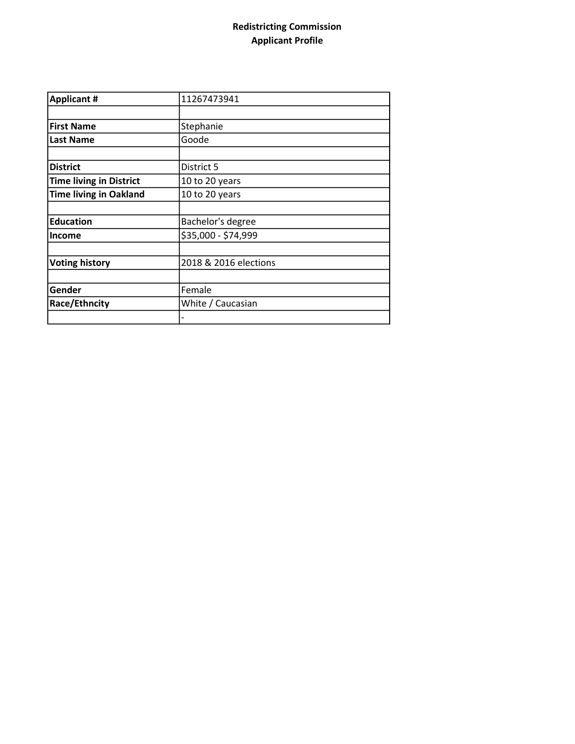## Redistricting Commission Applicant Profile

| <b>Applicant #</b>             | 11267473941           |
|--------------------------------|-----------------------|
|                                |                       |
| <b>First Name</b>              | Stephanie             |
| <b>Last Name</b>               | Goode                 |
|                                |                       |
| <b>District</b>                | District 5            |
| <b>Time living in District</b> | 10 to 20 years        |
| <b>Time living in Oakland</b>  | 10 to 20 years        |
|                                |                       |
| <b>Education</b>               | Bachelor's degree     |
| <b>Income</b>                  | \$35,000 - \$74,999   |
|                                |                       |
| <b>Voting history</b>          | 2018 & 2016 elections |
|                                |                       |
| Gender                         | Female                |
| Race/Ethncity                  | White / Caucasian     |
|                                |                       |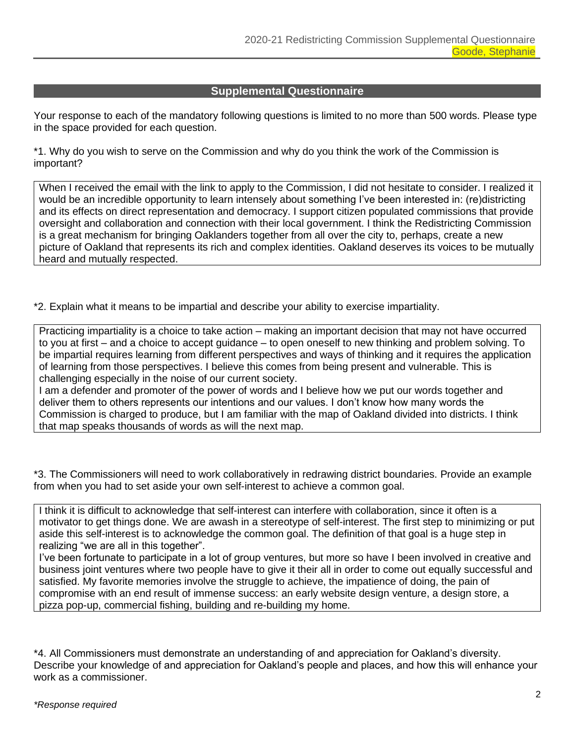## **Supplemental Questionnaire**

Your response to each of the mandatory following questions is limited to no more than 500 words. Please type in the space provided for each question.

\*1. Why do you wish to serve on the Commission and why do you think the work of the Commission is important?

When I received the email with the link to apply to the Commission, I did not hesitate to consider. I realized it would be an incredible opportunity to learn intensely about something I've been interested in: (re)districting and its effects on direct representation and democracy. I support citizen populated commissions that provide oversight and collaboration and connection with their local government. I think the Redistricting Commission is a great mechanism for bringing Oaklanders together from all over the city to, perhaps, create a new picture of Oakland that represents its rich and complex identities. Oakland deserves its voices to be mutually heard and mutually respected.

\*2. Explain what it means to be impartial and describe your ability to exercise impartiality.

Practicing impartiality is a choice to take action – making an important decision that may not have occurred to you at first – and a choice to accept guidance – to open oneself to new thinking and problem solving. To be impartial requires learning from different perspectives and ways of thinking and it requires the application of learning from those perspectives. I believe this comes from being present and vulnerable. This is challenging especially in the noise of our current society.

I am a defender and promoter of the power of words and I believe how we put our words together and deliver them to others represents our intentions and our values. I don't know how many words the Commission is charged to produce, but I am familiar with the map of Oakland divided into districts. I think that map speaks thousands of words as will the next map.

\*3. The Commissioners will need to work collaboratively in redrawing district boundaries. Provide an example from when you had to set aside your own self-interest to achieve a common goal.

I think it is difficult to acknowledge that self-interest can interfere with collaboration, since it often is a motivator to get things done. We are awash in a stereotype of self-interest. The first step to minimizing or put aside this self-interest is to acknowledge the common goal. The definition of that goal is a huge step in realizing "we are all in this together".

I've been fortunate to participate in a lot of group ventures, but more so have I been involved in creative and business joint ventures where two people have to give it their all in order to come out equally successful and satisfied. My favorite memories involve the struggle to achieve, the impatience of doing, the pain of compromise with an end result of immense success: an early website design venture, a design store, a pizza pop-up, commercial fishing, building and re-building my home.

\*4. All Commissioners must demonstrate an understanding of and appreciation for Oakland's diversity. Describe your knowledge of and appreciation for Oakland's people and places, and how this will enhance your work as a commissioner.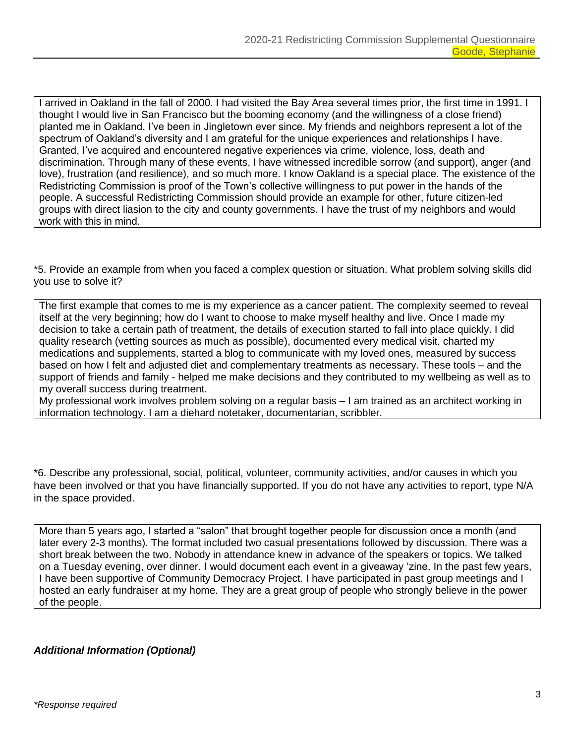I arrived in Oakland in the fall of 2000. I had visited the Bay Area several times prior, the first time in 1991. I thought I would live in San Francisco but the booming economy (and the willingness of a close friend) planted me in Oakland. I've been in Jingletown ever since. My friends and neighbors represent a lot of the spectrum of Oakland's diversity and I am grateful for the unique experiences and relationships I have. Granted, I've acquired and encountered negative experiences via crime, violence, loss, death and discrimination. Through many of these events, I have witnessed incredible sorrow (and support), anger (and love), frustration (and resilience), and so much more. I know Oakland is a special place. The existence of the Redistricting Commission is proof of the Town's collective willingness to put power in the hands of the people. A successful Redistricting Commission should provide an example for other, future citizen-led groups with direct liasion to the city and county governments. I have the trust of my neighbors and would work with this in mind.

\*5. Provide an example from when you faced a complex question or situation. What problem solving skills did you use to solve it?

The first example that comes to me is my experience as a cancer patient. The complexity seemed to reveal itself at the very beginning; how do I want to choose to make myself healthy and live. Once I made my decision to take a certain path of treatment, the details of execution started to fall into place quickly. I did quality research (vetting sources as much as possible), documented every medical visit, charted my medications and supplements, started a blog to communicate with my loved ones, measured by success based on how I felt and adjusted diet and complementary treatments as necessary. These tools – and the support of friends and family - helped me make decisions and they contributed to my wellbeing as well as to my overall success during treatment.

My professional work involves problem solving on a regular basis – I am trained as an architect working in information technology. I am a diehard notetaker, documentarian, scribbler.

\*6. Describe any professional, social, political, volunteer, community activities, and/or causes in which you have been involved or that you have financially supported. If you do not have any activities to report, type N/A in the space provided.

More than 5 years ago, I started a "salon" that brought together people for discussion once a month (and later every 2-3 months). The format included two casual presentations followed by discussion. There was a short break between the two. Nobody in attendance knew in advance of the speakers or topics. We talked on a Tuesday evening, over dinner. I would document each event in a giveaway 'zine. In the past few years, I have been supportive of Community Democracy Project. I have participated in past group meetings and I hosted an early fundraiser at my home. They are a great group of people who strongly believe in the power of the people.

*Additional Information (Optional)*